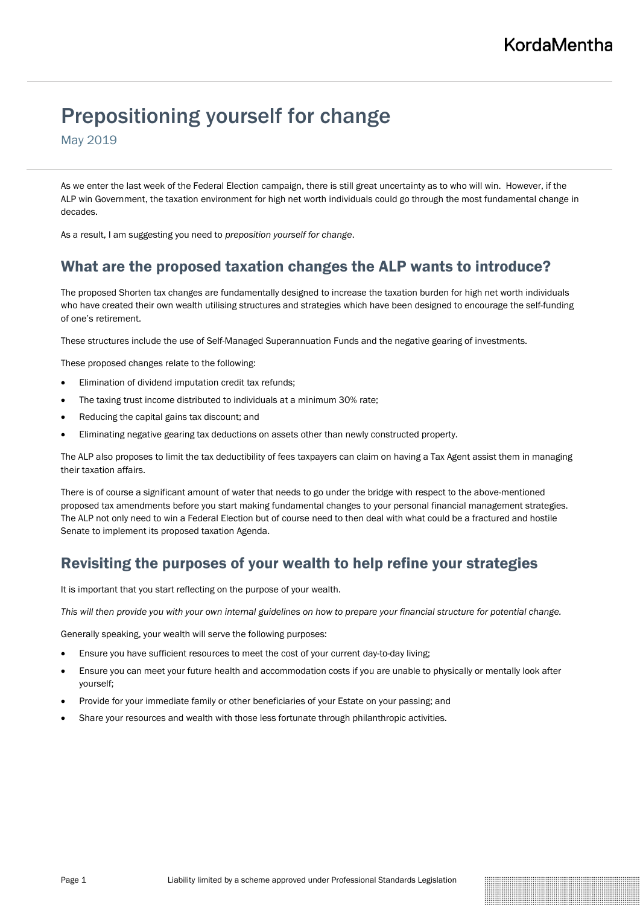# Prepositioning yourself for change

May 2019

As we enter the last week of the Federal Election campaign, there is still great uncertainty as to who will win. However, if the ALP win Government, the taxation environment for high net worth individuals could go through the most fundamental change in decades.

As a result, I am suggesting you need to *preposition yourself for change*.

# What are the proposed taxation changes the ALP wants to introduce?

The proposed Shorten tax changes are fundamentally designed to increase the taxation burden for high net worth individuals who have created their own wealth utilising structures and strategies which have been designed to encourage the self-funding of one's retirement.

These structures include the use of Self-Managed Superannuation Funds and the negative gearing of investments.

These proposed changes relate to the following:

- Elimination of dividend imputation credit tax refunds;
- The taxing trust income distributed to individuals at a minimum 30% rate;
- Reducing the capital gains tax discount; and
- Eliminating negative gearing tax deductions on assets other than newly constructed property.

The ALP also proposes to limit the tax deductibility of fees taxpayers can claim on having a Tax Agent assist them in managing their taxation affairs.

There is of course a significant amount of water that needs to go under the bridge with respect to the above-mentioned proposed tax amendments before you start making fundamental changes to your personal financial management strategies. The ALP not only need to win a Federal Election but of course need to then deal with what could be a fractured and hostile Senate to implement its proposed taxation Agenda.

# Revisiting the purposes of your wealth to help refine your strategies

It is important that you start reflecting on the purpose of your wealth.

*This will then provide you with your own internal guidelines on how to prepare your financial structure for potential change.* 

Generally speaking, your wealth will serve the following purposes:

- Ensure you have sufficient resources to meet the cost of your current day-to-day living;
- Ensure you can meet your future health and accommodation costs if you are unable to physically or mentally look after yourself;
- Provide for your immediate family or other beneficiaries of your Estate on your passing; and
- Share your resources and wealth with those less fortunate through philanthropic activities.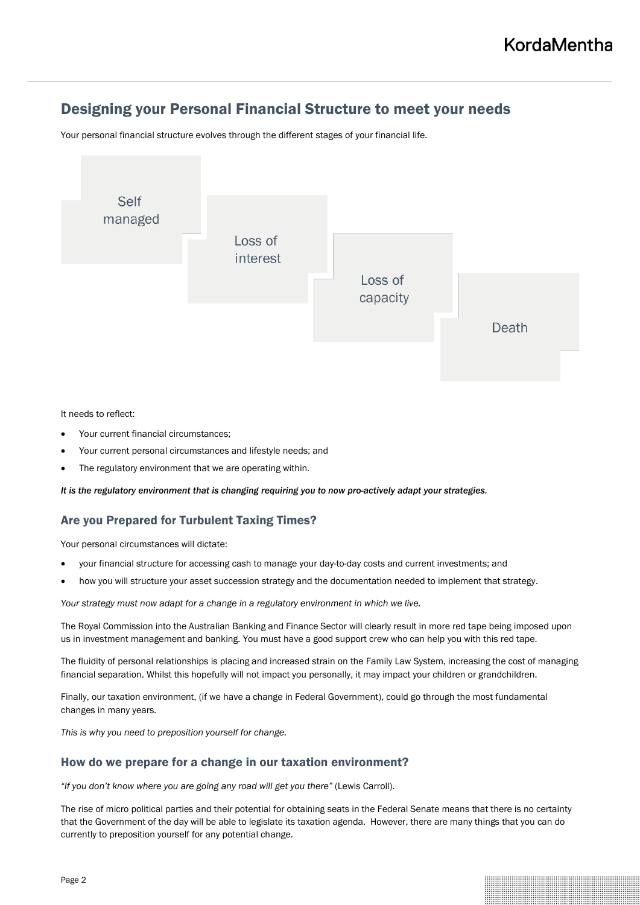# Designing your Personal Financial Structure to meet your needs

Your personal financial structure evolves through the different stages of your financial life.



#### It needs to reflect:

- Your current financial circumstances;
- Your current personal circumstances and lifestyle needs; and
- The regulatory environment that we are operating within.

*It is the regulatory environment that is changing requiring you to now pro-actively adapt your strategies.*

### Are you Prepared for Turbulent Taxing Times?

Your personal circumstances will dictate:

- your financial structure for accessing cash to manage your day-to-day costs and current investments; and
- how you will structure your asset succession strategy and the documentation needed to implement that strategy.

*Your strategy must now adapt for a change in a regulatory environment in which we live.*

The Royal Commission into the Australian Banking and Finance Sector will clearly result in more red tape being imposed upon us in investment management and banking. You must have a good support crew who can help you with this red tape.

The fluidity of personal relationships is placing and increased strain on the Family Law System, increasing the cost of managing financial separation. Whilst this hopefully will not impact you personally, it may impact your children or grandchildren.

Finally, our taxation environment, (if we have a change in Federal Government), could go through the most fundamental changes in many years.

*This is why you need to preposition yourself for change.*

### How do we prepare for a change in our taxation environment?

*"If you don't know where you are going any road will get you there"* (Lewis Carroll).

The rise of micro political parties and their potential for obtaining seats in the Federal Senate means that there is no certainty that the Government of the day will be able to legislate its taxation agenda. However, there are many things that you can do currently to preposition yourself for any potential change.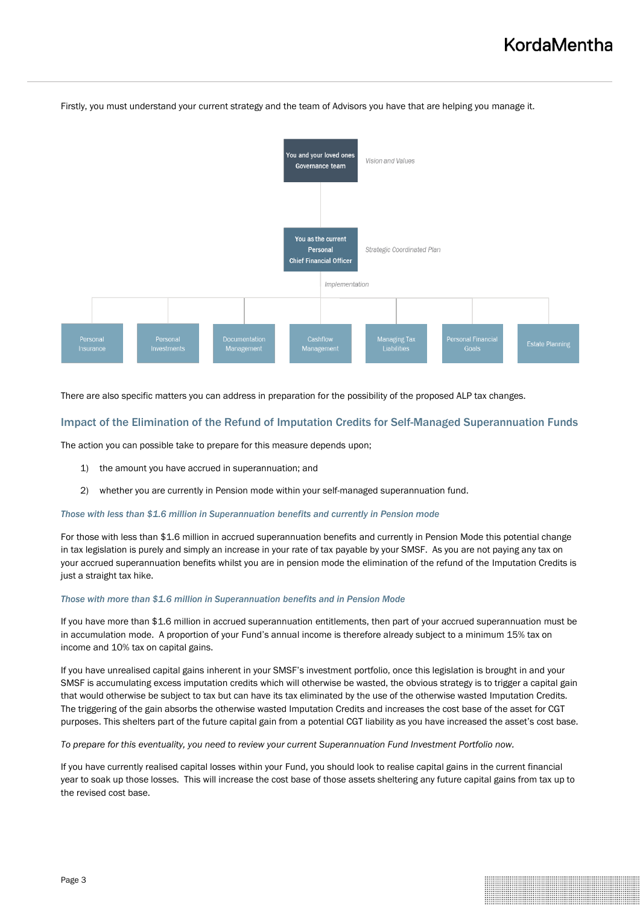

Firstly, you must understand your current strategy and the team of Advisors you have that are helping you manage it.

There are also specific matters you can address in preparation for the possibility of the proposed ALP tax changes.

### Impact of the Elimination of the Refund of Imputation Credits for Self-Managed Superannuation Funds

The action you can possible take to prepare for this measure depends upon;

- 1) the amount you have accrued in superannuation; and
- 2) whether you are currently in Pension mode within your self-managed superannuation fund.

#### *Those with less than \$1.6 million in Superannuation benefits and currently in Pension mode*

For those with less than \$1.6 million in accrued superannuation benefits and currently in Pension Mode this potential change in tax legislation is purely and simply an increase in your rate of tax payable by your SMSF. As you are not paying any tax on your accrued superannuation benefits whilst you are in pension mode the elimination of the refund of the Imputation Credits is just a straight tax hike.

#### *Those with more than \$1.6 million in Superannuation benefits and in Pension Mode*

If you have more than \$1.6 million in accrued superannuation entitlements, then part of your accrued superannuation must be in accumulation mode. A proportion of your Fund's annual income is therefore already subject to a minimum 15% tax on income and 10% tax on capital gains.

If you have unrealised capital gains inherent in your SMSF's investment portfolio, once this legislation is brought in and your SMSF is accumulating excess imputation credits which will otherwise be wasted, the obvious strategy is to trigger a capital gain that would otherwise be subject to tax but can have its tax eliminated by the use of the otherwise wasted Imputation Credits. The triggering of the gain absorbs the otherwise wasted Imputation Credits and increases the cost base of the asset for CGT purposes. This shelters part of the future capital gain from a potential CGT liability as you have increased the asset's cost base.

*To prepare for this eventuality, you need to review your current Superannuation Fund Investment Portfolio now.* 

If you have currently realised capital losses within your Fund, you should look to realise capital gains in the current financial year to soak up those losses. This will increase the cost base of those assets sheltering any future capital gains from tax up to the revised cost base.